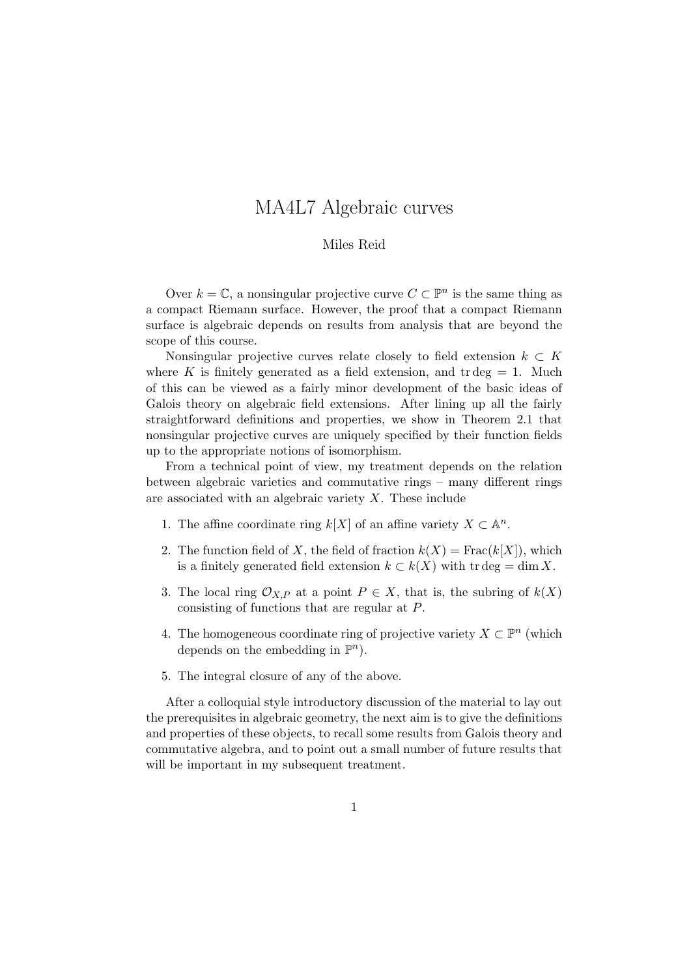# MA4L7 Algebraic curves

### Miles Reid

Over  $k = \mathbb{C}$ , a nonsingular projective curve  $C \subset \mathbb{P}^n$  is the same thing as a compact Riemann surface. However, the proof that a compact Riemann surface is algebraic depends on results from analysis that are beyond the scope of this course.

Nonsingular projective curves relate closely to field extension  $k \subset K$ where K is finitely generated as a field extension, and  $tr deg = 1$ . Much of this can be viewed as a fairly minor development of the basic ideas of Galois theory on algebraic field extensions. After lining up all the fairly straightforward definitions and properties, we show in Theorem 2.1 that nonsingular projective curves are uniquely specified by their function fields up to the appropriate notions of isomorphism.

From a technical point of view, my treatment depends on the relation between algebraic varieties and commutative rings – many different rings are associated with an algebraic variety X. These include

- 1. The affine coordinate ring  $k[X]$  of an affine variety  $X \subset \mathbb{A}^n$ .
- 2. The function field of X, the field of fraction  $k(X) = Frac(k[X])$ , which is a finitely generated field extension  $k \subset k(X)$  with tr deg = dim X.
- 3. The local ring  $\mathcal{O}_{X,P}$  at a point  $P \in X$ , that is, the subring of  $k(X)$ consisting of functions that are regular at P.
- 4. The homogeneous coordinate ring of projective variety  $X \subset \mathbb{P}^n$  (which depends on the embedding in  $\mathbb{P}^n$ ).
- 5. The integral closure of any of the above.

After a colloquial style introductory discussion of the material to lay out the prerequisites in algebraic geometry, the next aim is to give the definitions and properties of these objects, to recall some results from Galois theory and commutative algebra, and to point out a small number of future results that will be important in my subsequent treatment.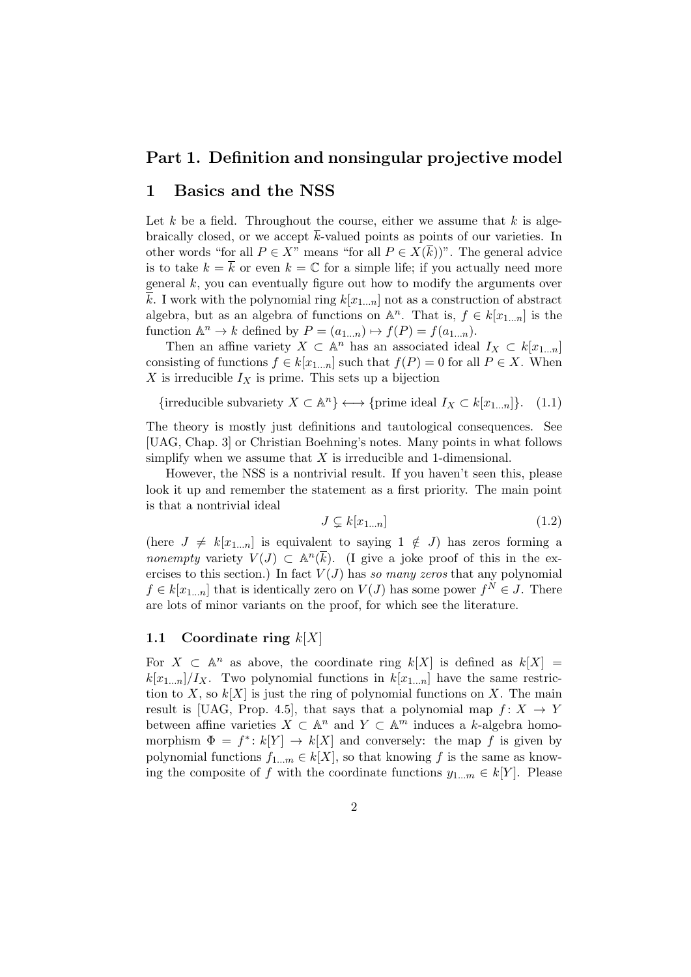# Part 1. Definition and nonsingular projective model

# 1 Basics and the NSS

Let  $k$  be a field. Throughout the course, either we assume that  $k$  is algebraically closed, or we accept  $\bar{k}$ -valued points as points of our varieties. In other words "for all  $P \in X$ " means "for all  $P \in X(\overline{k})$ ". The general advice is to take  $k = \overline{k}$  or even  $k = \mathbb{C}$  for a simple life; if you actually need more general  $k$ , you can eventually figure out how to modify the arguments over k. I work with the polynomial ring  $k[x_{1...n}]$  not as a construction of abstract algebra, but as an algebra of functions on  $\mathbb{A}^n$ . That is,  $f \in k[x_{1...n}]$  is the function  $\mathbb{A}^n \to k$  defined by  $P = (a_{1...n}) \mapsto f(P) = f(a_{1...n}).$ 

Then an affine variety  $X \subset \mathbb{A}^n$  has an associated ideal  $I_X \subset k[x_{1...n}]$ consisting of functions  $f \in k[x_{1...n}]$  such that  $f(P) = 0$  for all  $P \in X$ . When X is irreducible  $I_X$  is prime. This sets up a bijection

{irreducible subvariety  $X \subset \mathbb{A}^n$ }  $\longleftrightarrow$  {prime ideal  $I_X \subset k[x_{1...n}]\}$ . (1.1)

The theory is mostly just definitions and tautological consequences. See [UAG, Chap. 3] or Christian Boehning's notes. Many points in what follows simplify when we assume that  $X$  is irreducible and 1-dimensional.

However, the NSS is a nontrivial result. If you haven't seen this, please look it up and remember the statement as a first priority. The main point is that a nontrivial ideal

$$
J \subsetneq k[x_{1...n}] \tag{1.2}
$$

(here  $J \neq k[x_{1...n}]$  is equivalent to saying  $1 \notin J$ ) has zeros forming a nonempty variety  $V(J) \subset \mathbb{A}^n(\overline{k})$ . (I give a joke proof of this in the exercises to this section.) In fact  $V(J)$  has so many zeros that any polynomial  $f \in k[x_{1...n}]$  that is identically zero on  $V(J)$  has some power  $f^N \in J$ . There are lots of minor variants on the proof, for which see the literature.

### 1.1 Coordinate ring  $k[X]$

For  $X \subset \mathbb{A}^n$  as above, the coordinate ring  $k[X]$  is defined as  $k[X] =$  $k[x_{1...n}]/I_X$ . Two polynomial functions in  $k[x_{1...n}]$  have the same restriction to X, so  $k[X]$  is just the ring of polynomial functions on X. The main result is [UAG, Prop. 4.5], that says that a polynomial map  $f: X \rightarrow Y$ between affine varieties  $X \subset \mathbb{A}^n$  and  $Y \subset \mathbb{A}^m$  induces a k-algebra homomorphism  $\Phi = f^* : k[Y] \to k[X]$  and conversely: the map f is given by polynomial functions  $f_{1...m} \in k[X]$ , so that knowing f is the same as knowing the composite of f with the coordinate functions  $y_{1...m} \in k[Y]$ . Please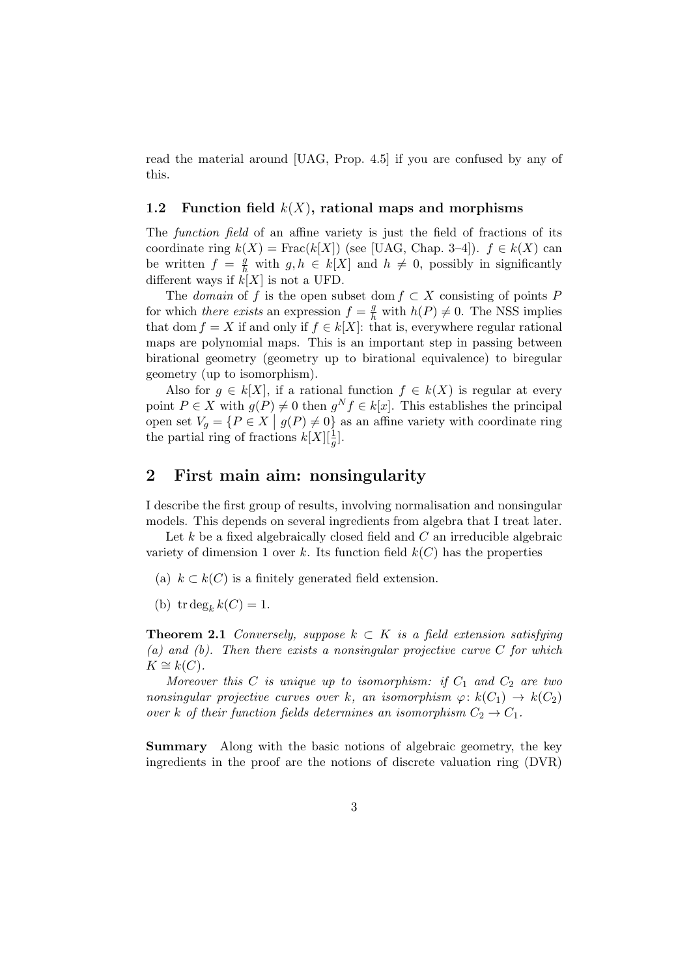read the material around [UAG, Prop. 4.5] if you are confused by any of this.

### 1.2 Function field  $k(X)$ , rational maps and morphisms

The function field of an affine variety is just the field of fractions of its coordinate ring  $k(X) = \text{Frac}(k[X])$  (see [UAG, Chap. 3–4]).  $f \in k(X)$  can be written  $f = \frac{g}{h}$  with  $g, h \in k[X]$  and  $h \neq 0$ , possibly in significantly different ways if  $k[X]$  is not a UFD.

The domain of f is the open subset dom  $f \subset X$  consisting of points P for which there exists an expression  $f = \frac{g}{h}$  with  $h(P) \neq 0$ . The NSS implies that dom  $f = X$  if and only if  $f \in k[X]$ : that is, everywhere regular rational maps are polynomial maps. This is an important step in passing between birational geometry (geometry up to birational equivalence) to biregular geometry (up to isomorphism).

Also for  $g \in k[X]$ , if a rational function  $f \in k(X)$  is regular at every point  $P \in X$  with  $g(P) \neq 0$  then  $g^N f \in k[x]$ . This establishes the principal open set  $V_g = \{P \in X \mid g(P) \neq 0\}$  as an affine variety with coordinate ring the partial ring of fractions  $k[X][\frac{1}{g}].$ 

# 2 First main aim: nonsingularity

I describe the first group of results, involving normalisation and nonsingular models. This depends on several ingredients from algebra that I treat later.

Let  $k$  be a fixed algebraically closed field and  $C$  an irreducible algebraic variety of dimension 1 over k. Its function field  $k(C)$  has the properties

- (a)  $k \subset k(C)$  is a finitely generated field extension.
- (b) tr deg<sub>k</sub>  $k(C) = 1$ .

**Theorem 2.1** Conversely, suppose  $k \subset K$  is a field extension satisfying (a) and (b). Then there exists a nonsingular projective curve  $C$  for which  $K \cong k(C)$ .

Moreover this  $C$  is unique up to isomorphism: if  $C_1$  and  $C_2$  are two nonsingular projective curves over k, an isomorphism  $\varphi: k(C_1) \to k(C_2)$ over k of their function fields determines an isomorphism  $C_2 \rightarrow C_1$ .

Summary Along with the basic notions of algebraic geometry, the key ingredients in the proof are the notions of discrete valuation ring (DVR)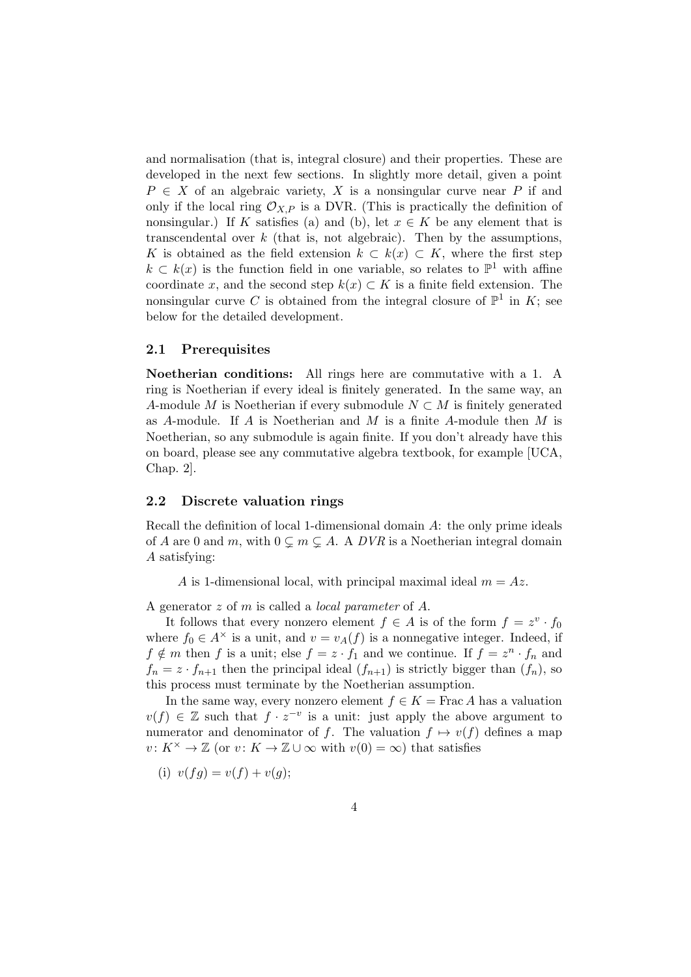and normalisation (that is, integral closure) and their properties. These are developed in the next few sections. In slightly more detail, given a point  $P \in X$  of an algebraic variety, X is a nonsingular curve near P if and only if the local ring  $\mathcal{O}_{X,P}$  is a DVR. (This is practically the definition of nonsingular.) If K satisfies (a) and (b), let  $x \in K$  be any element that is transcendental over  $k$  (that is, not algebraic). Then by the assumptions, K is obtained as the field extension  $k \subset k(x) \subset K$ , where the first step  $k \subset k(x)$  is the function field in one variable, so relates to  $\mathbb{P}^1$  with affine coordinate x, and the second step  $k(x) \subset K$  is a finite field extension. The nonsingular curve C is obtained from the integral closure of  $\mathbb{P}^1$  in K; see below for the detailed development.

### 2.1 Prerequisites

Noetherian conditions: All rings here are commutative with a 1. A ring is Noetherian if every ideal is finitely generated. In the same way, an A-module M is Noetherian if every submodule  $N \subset M$  is finitely generated as A-module. If A is Noetherian and M is a finite A-module then  $M$  is Noetherian, so any submodule is again finite. If you don't already have this on board, please see any commutative algebra textbook, for example [UCA, Chap. 2].

### 2.2 Discrete valuation rings

Recall the definition of local 1-dimensional domain A: the only prime ideals of A are 0 and m, with  $0 \subsetneq m \subsetneq A$ . A DVR is a Noetherian integral domain A satisfying:

A is 1-dimensional local, with principal maximal ideal  $m = Az$ .

A generator z of m is called a local parameter of A.

It follows that every nonzero element  $f \in A$  is of the form  $f = z^v \cdot f_0$ where  $f_0 \in A^{\times}$  is a unit, and  $v = v_A(f)$  is a nonnegative integer. Indeed, if  $f \notin m$  then f is a unit; else  $f = z \cdot f_1$  and we continue. If  $f = z^n \cdot f_n$  and  $f_n = z \cdot f_{n+1}$  then the principal ideal  $(f_{n+1})$  is strictly bigger than  $(f_n)$ , so this process must terminate by the Noetherian assumption.

In the same way, every nonzero element  $f \in K = \text{Frac } A$  has a valuation  $v(f) \in \mathbb{Z}$  such that  $f \cdot z^{-v}$  is a unit: just apply the above argument to numerator and denominator of f. The valuation  $f \mapsto v(f)$  defines a map  $v: K^{\times} \to \mathbb{Z}$  (or  $v: K \to \mathbb{Z} \cup \infty$  with  $v(0) = \infty$ ) that satisfies

(i) 
$$
v(fg) = v(f) + v(g);
$$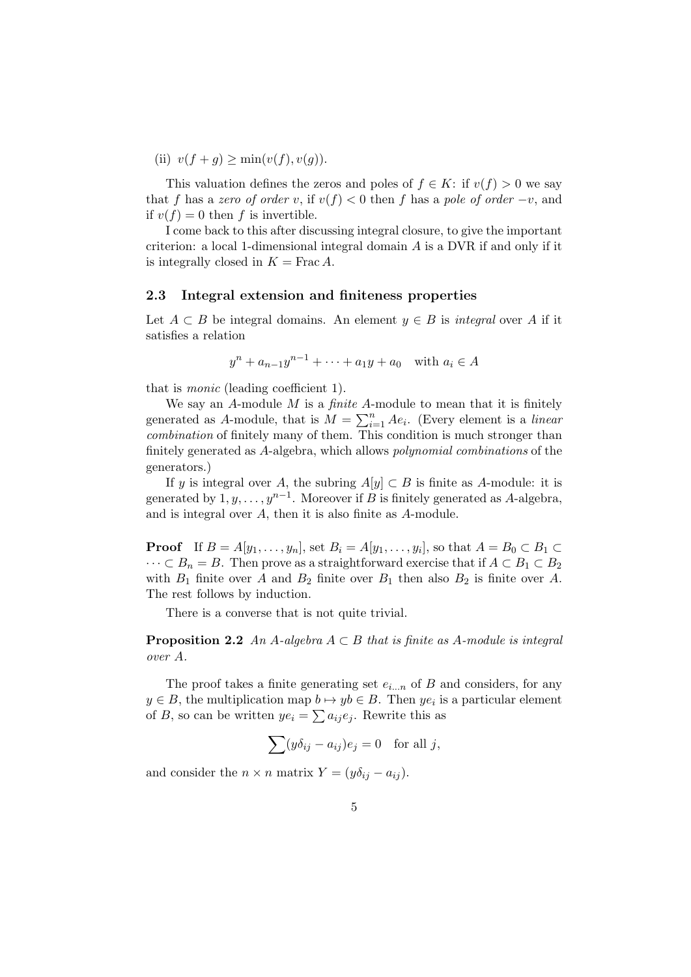(ii)  $v(f + q) > min(v(f), v(q)).$ 

This valuation defines the zeros and poles of  $f \in K$ : if  $v(f) > 0$  we say that f has a zero of order v, if  $v(f) < 0$  then f has a pole of order  $-v$ , and if  $v(f) = 0$  then f is invertible.

I come back to this after discussing integral closure, to give the important criterion: a local 1-dimensional integral domain A is a DVR if and only if it is integrally closed in  $K = \text{Frac}\,A$ .

#### 2.3 Integral extension and finiteness properties

Let  $A \subset B$  be integral domains. An element  $y \in B$  is *integral* over A if it satisfies a relation

$$
y^{n} + a_{n-1}y^{n-1} + \cdots + a_1y + a_0
$$
 with  $a_i \in A$ 

that is monic (leading coefficient 1).

We say an A-module  $M$  is a *finite* A-module to mean that it is finitely generated as A-module, that is  $M = \sum_{i=1}^{n} Ae_i$ . (Every element is a *linear* combination of finitely many of them. This condition is much stronger than finitely generated as A-algebra, which allows polynomial combinations of the generators.)

If y is integral over A, the subring  $A[y] \subset B$  is finite as A-module: it is generated by  $1, y, \ldots, y^{n-1}$ . Moreover if B is finitely generated as A-algebra, and is integral over A, then it is also finite as A-module.

**Proof** If  $B = A[y_1, \ldots, y_n]$ , set  $B_i = A[y_1, \ldots, y_i]$ , so that  $A = B_0 \subset B_1 \subset$  $\cdots \subset B_n = B$ . Then prove as a straightforward exercise that if  $A \subset B_1 \subset B_2$ with  $B_1$  finite over A and  $B_2$  finite over  $B_1$  then also  $B_2$  is finite over A. The rest follows by induction.

There is a converse that is not quite trivial.

**Proposition 2.2** An A-algebra  $A \subset B$  that is finite as A-module is integral over A.

The proof takes a finite generating set  $e_{i...n}$  of B and considers, for any  $y \in B$ , the multiplication map  $b \mapsto yb \in B$ . Then  $ye_i$  is a particular element of B, so can be written  $ye_i = \sum a_{ij}e_j$ . Rewrite this as

$$
\sum (y \delta_{ij} - a_{ij}) e_j = 0 \text{ for all } j,
$$

and consider the  $n \times n$  matrix  $Y = (y\delta_{ij} - a_{ij}).$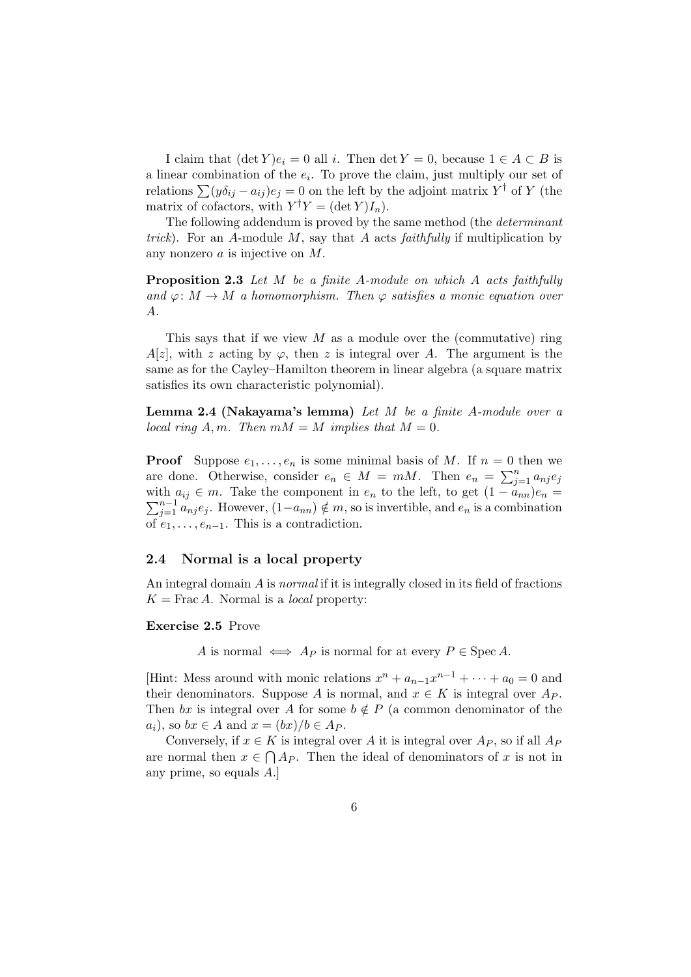I claim that  $(\det Y)e_i = 0$  all i. Then  $\det Y = 0$ , because  $1 \in A \subset B$  is a linear combination of the  $e_i$ . To prove the claim, just multiply our set of relations  $\sum (y \delta_{ij} - a_{ij}) e_j = 0$  on the left by the adjoint matrix  $Y^{\dagger}$  of Y (the matrix of cofactors, with  $Y^{\dagger}Y = (\det Y)I_n$ .

The following addendum is proved by the same method (the determinant trick). For an A-module M, say that A acts faithfully if multiplication by any nonzero a is injective on M.

Proposition 2.3 Let M be a finite A-module on which A acts faithfully and  $\varphi: M \to M$  a homomorphism. Then  $\varphi$  satisfies a monic equation over A.

This says that if we view  $M$  as a module over the (commutative) ring  $A[z]$ , with z acting by  $\varphi$ , then z is integral over A. The argument is the same as for the Cayley–Hamilton theorem in linear algebra (a square matrix satisfies its own characteristic polynomial).

Lemma 2.4 (Nakayama's lemma) Let  $M$  be a finite A-module over a local ring A, m. Then  $mM = M$  implies that  $M = 0$ .

**Proof** Suppose  $e_1, \ldots, e_n$  is some minimal basis of M. If  $n = 0$  then we are done. Otherwise, consider  $e_n \in M = mM$ . Then  $e_n = \sum_{j=1}^n a_{nj} e_j$ with  $a_{ij} \in m$ . Take the component in  $e_n$  to the left, to get  $(1 - a_{nn})e_n =$  $\sum_{j=1}^{n-1} a_{nj} e_j$ . However,  $(1-a_{nn}) \notin m$ , so is invertible, and  $e_n$  is a combination of  $e_1, \ldots, e_{n-1}$ . This is a contradiction.

### 2.4 Normal is a local property

An integral domain A is normal if it is integrally closed in its field of fractions  $K = \text{Frac }A$ . Normal is a *local* property:

#### Exercise 2.5 Prove

A is normal  $\iff$  A<sub>P</sub> is normal for at every  $P \in \text{Spec } A$ .

[Hint: Mess around with monic relations  $x^n + a_{n-1}x^{n-1} + \cdots + a_0 = 0$  and their denominators. Suppose A is normal, and  $x \in K$  is integral over  $A_P$ . Then bx is integral over A for some  $b \notin P$  (a common denominator of the  $a_i$ , so  $bx \in A$  and  $x = (bx)/b \in A_P$ .

Conversely, if  $x \in K$  is integral over A it is integral over  $A_P$ , so if all  $A_P$ are normal then  $x \in \bigcap A_P$ . Then the ideal of denominators of x is not in any prime, so equals A.]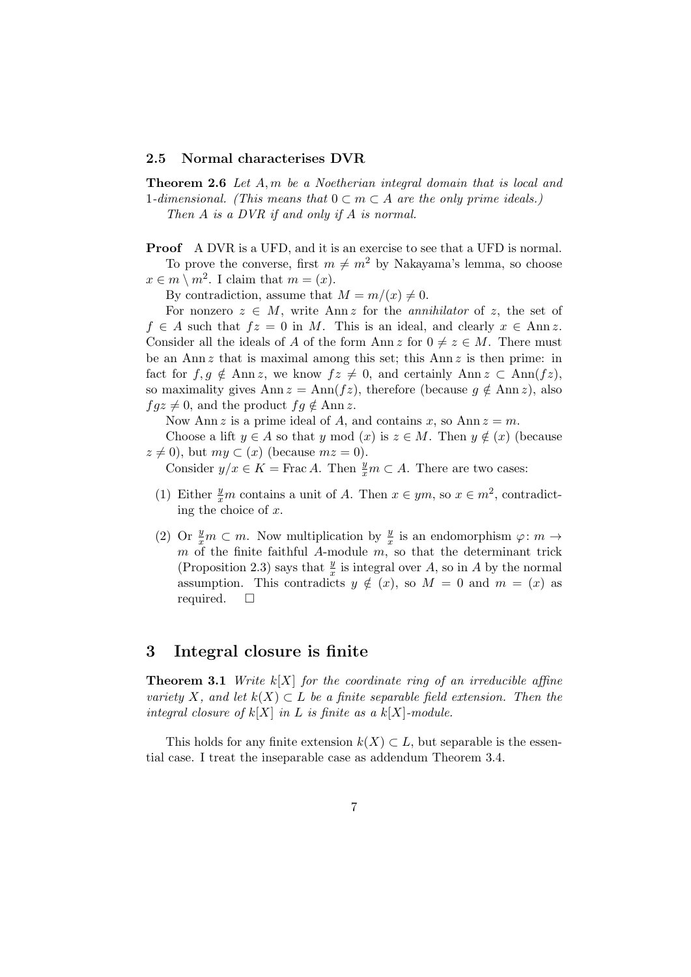### 2.5 Normal characterises DVR

Theorem 2.6 Let A, m be a Noetherian integral domain that is local and 1-dimensional. (This means that  $0 \subset m \subset A$  are the only prime ideals.)

Then A is a DVR if and only if A is normal.

**Proof** A DVR is a UFD, and it is an exercise to see that a UFD is normal. To prove the converse, first  $m \neq m^2$  by Nakayama's lemma, so choose  $x \in m \setminus m^2$ . I claim that  $m = (x)$ .

By contradiction, assume that  $M = m/(x) \neq 0$ .

For nonzero  $z \in M$ , write Ann z for the *annihilator* of z, the set of  $f \in A$  such that  $fz = 0$  in M. This is an ideal, and clearly  $x \in Ann z$ . Consider all the ideals of A of the form Ann z for  $0 \neq z \in M$ . There must be an Ann  $z$  that is maximal among this set; this Ann  $z$  is then prime: in fact for  $f, g \notin \text{Ann } z$ , we know  $fz \neq 0$ , and certainly Ann  $z \subset \text{Ann}(fz)$ , so maximality gives Ann  $z = \text{Ann}(fz)$ , therefore (because  $g \notin \text{Ann } z$ ), also  $fgz \neq 0$ , and the product  $fg \notin \text{Ann } z$ .

Now Ann z is a prime ideal of A, and contains x, so Ann  $z = m$ .

Choose a lift  $y \in A$  so that y mod  $(x)$  is  $z \in M$ . Then  $y \notin (x)$  (because  $z \neq 0$ , but  $my \subset (x)$  (because  $mz = 0$ ).

Consider  $y/x \in K = \text{Frac }A$ . Then  $\frac{y}{x}m \subset A$ . There are two cases:

- (1) Either  $\frac{y}{x}m$  contains a unit of A. Then  $x \in ym$ , so  $x \in m^2$ , contradicting the choice of x.
- (2) Or  $\frac{y}{x}m \subset m$ . Now multiplication by  $\frac{y}{x}$  is an endomorphism  $\varphi: m \to$  $m$  of the finite faithful A-module  $m$ , so that the determinant trick (Proposition 2.3) says that  $\frac{y}{x}$  is integral over A, so in A by the normal assumption. This contradicts  $y \notin (x)$ , so  $M = 0$  and  $m = (x)$  as required.  $\square$

### 3 Integral closure is finite

**Theorem 3.1** Write  $k[X]$  for the coordinate ring of an irreducible affine variety X, and let  $k(X) \subset L$  be a finite separable field extension. Then the integral closure of  $k[X]$  in L is finite as a  $k[X]$ -module.

This holds for any finite extension  $k(X) \subset L$ , but separable is the essential case. I treat the inseparable case as addendum Theorem 3.4.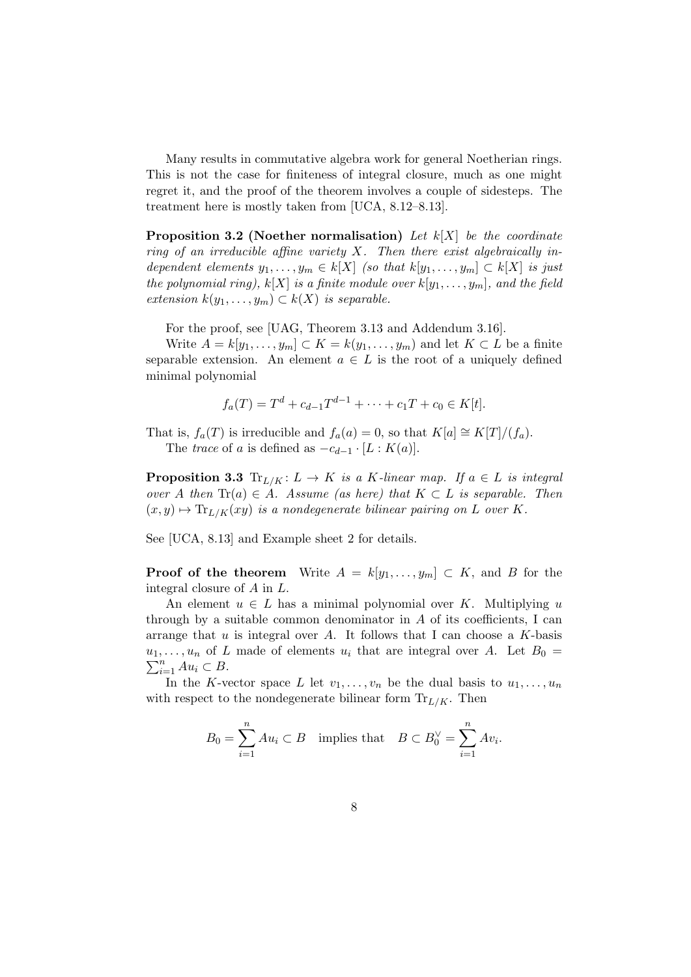Many results in commutative algebra work for general Noetherian rings. This is not the case for finiteness of integral closure, much as one might regret it, and the proof of the theorem involves a couple of sidesteps. The treatment here is mostly taken from [UCA, 8.12–8.13].

**Proposition 3.2 (Noether normalisation)** Let  $k[X]$  be the coordinate ring of an irreducible affine variety  $X$ . Then there exist algebraically independent elements  $y_1, \ldots, y_m \in k[X]$  (so that  $k[y_1, \ldots, y_m] \subset k[X]$  is just the polynomial ring),  $k[X]$  is a finite module over  $k[y_1, \ldots, y_m]$ , and the field extension  $k(y_1, \ldots, y_m) \subset k(X)$  is separable.

For the proof, see [UAG, Theorem 3.13 and Addendum 3.16].

Write  $A = k[y_1, \ldots, y_m] \subset K = k(y_1, \ldots, y_m)$  and let  $K \subset L$  be a finite separable extension. An element  $a \in L$  is the root of a uniquely defined minimal polynomial

$$
f_a(T) = T^d + c_{d-1}T^{d-1} + \dots + c_1T + c_0 \in K[t].
$$

That is,  $f_a(T)$  is irreducible and  $f_a(a) = 0$ , so that  $K[a] \cong K[T]/(f_a)$ . The trace of a is defined as  $-c_{d-1} \cdot [L : K(a)]$ .

**Proposition 3.3** Tr<sub>L/K</sub>:  $L \rightarrow K$  is a K-linear map. If  $a \in L$  is integral over A then  $\text{Tr}(a) \in A$ . Assume (as here) that  $K \subset L$  is separable. Then  $(x, y) \mapsto \text{Tr}_{L/K}(xy)$  is a nondegenerate bilinear pairing on L over K.

See [UCA, 8.13] and Example sheet 2 for details.

**Proof of the theorem** Write  $A = k[y_1, \ldots, y_m] \subset K$ , and B for the integral closure of A in L.

An element  $u \in L$  has a minimal polynomial over K. Multiplying u through by a suitable common denominator in  $A$  of its coefficients, I can arrange that  $u$  is integral over  $A$ . It follows that I can choose a  $K$ -basis  $u_1, \ldots, u_n$  of L made of elements  $u_i$  that are integral over A. Let  $B_0 =$  $\sum_{i=1}^n Au_i \subset B.$ 

In the K-vector space L let  $v_1, \ldots, v_n$  be the dual basis to  $u_1, \ldots, u_n$ with respect to the nondegenerate bilinear form  $\text{Tr}_{L/K}$ . Then

$$
B_0 = \sum_{i=1}^n A u_i \subset B \quad \text{implies that} \quad B \subset B_0^{\vee} = \sum_{i=1}^n A v_i.
$$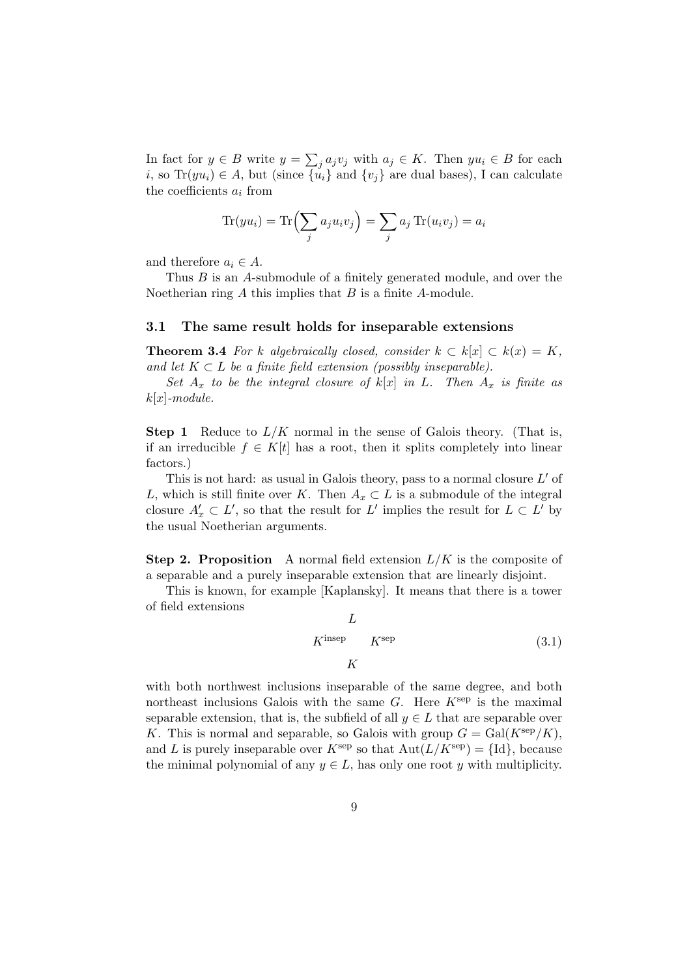In fact for  $y \in B$  write  $y = \sum_j a_j v_j$  with  $a_j \in K$ . Then  $yu_i \in B$  for each i, so Tr( $yu_i$ ) ∈ A, but (since  $\{\tilde{u}_i\}$  and  $\{v_j\}$  are dual bases), I can calculate the coefficients  $a_i$  from

$$
\text{Tr}(yu_i) = \text{Tr}\left(\sum_j a_j u_i v_j\right) = \sum_j a_j \text{Tr}(u_i v_j) = a_i
$$

and therefore  $a_i \in A$ .

Thus B is an A-submodule of a finitely generated module, and over the Noetherian ring  $A$  this implies that  $B$  is a finite  $A$ -module.

### 3.1 The same result holds for inseparable extensions

**Theorem 3.4** For k algebraically closed, consider  $k \text{ }\subset k[x] \subset k(x) = K$ , and let  $K \subset L$  be a finite field extension (possibly inseparable).

Set  $A_x$  to be the integral closure of  $k[x]$  in L. Then  $A_x$  is finite as  $k[x]$ -module.

**Step 1** Reduce to  $L/K$  normal in the sense of Galois theory. (That is, if an irreducible  $f \in K[t]$  has a root, then it splits completely into linear factors.)

This is not hard: as usual in Galois theory, pass to a normal closure  $L'$  of L, which is still finite over K. Then  $A_x \subset L$  is a submodule of the integral closure  $A'_x \subset L'$ , so that the result for  $L'$  implies the result for  $L \subset L'$  by the usual Noetherian arguments.

**Step 2. Proposition** A normal field extension  $L/K$  is the composite of a separable and a purely inseparable extension that are linearly disjoint.

This is known, for example [Kaplansky]. It means that there is a tower of field extensions

$$
L
$$
\n
$$
K^{\text{insep}} \qquad K^{\text{sep}} \tag{3.1}
$$
\n
$$
K
$$

with both northwest inclusions inseparable of the same degree, and both northeast inclusions Galois with the same  $G$ . Here  $K^{\text{sep}}$  is the maximal separable extension, that is, the subfield of all  $y \in L$  that are separable over K. This is normal and separable, so Galois with group  $G = \text{Gal}(K^{\text{sep}}/K)$ , and L is purely inseparable over  $K^{\text{sep}}$  so that  $\text{Aut}(L/K^{\text{sep}}) = {\text{Id}}$ , because the minimal polynomial of any  $y \in L$ , has only one root y with multiplicity.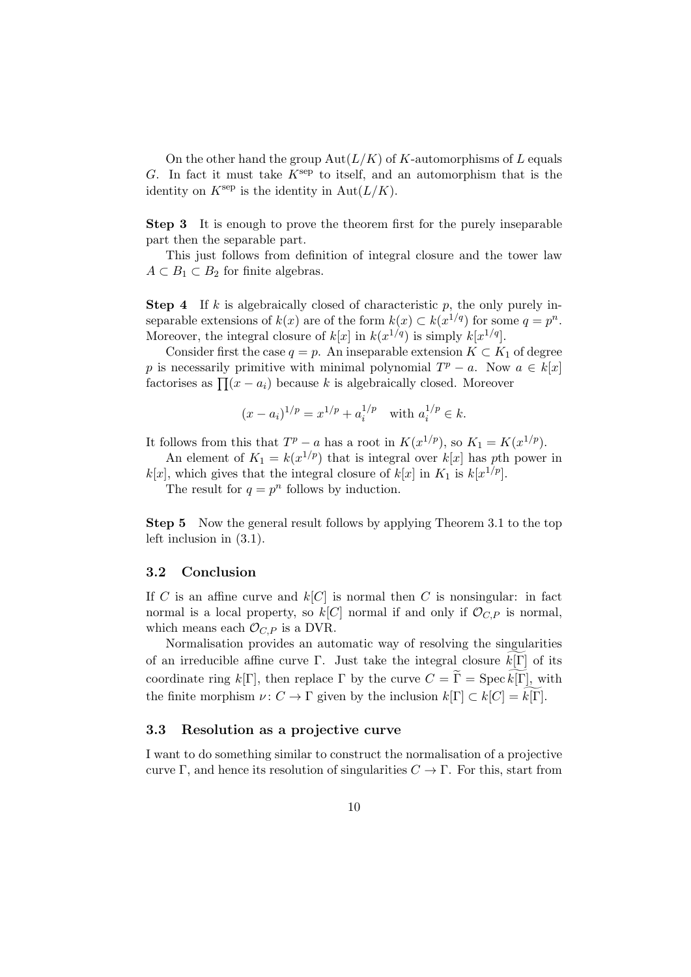On the other hand the group  $Aut(L/K)$  of K-automorphisms of L equals G. In fact it must take  $K^{\text{sep}}$  to itself, and an automorphism that is the identity on  $K^{\text{sep}}$  is the identity in  $\text{Aut}(L/K)$ .

Step 3 It is enough to prove the theorem first for the purely inseparable part then the separable part.

This just follows from definition of integral closure and the tower law  $A \subset B_1 \subset B_2$  for finite algebras.

**Step 4** If k is algebraically closed of characteristic p, the only purely inseparable extensions of  $k(x)$  are of the form  $k(x) \subset k(x^{1/q})$  for some  $q = p^n$ . Moreover, the integral closure of  $k[x]$  in  $k(x^{1/q})$  is simply  $k[x^{1/q}]$ .

Consider first the case  $q = p$ . An inseparable extension  $K \subset K_1$  of degree p is necessarily primitive with minimal polynomial  $T^p - a$ . Now  $a \in k[x]$ factorises as  $\prod (x - a_i)$  because k is algebraically closed. Moreover

$$
(x - a_i)^{1/p} = x^{1/p} + a_i^{1/p}
$$
 with  $a_i^{1/p} \in k$ .

It follows from this that  $T^p - a$  has a root in  $K(x^{1/p})$ , so  $K_1 = K(x^{1/p})$ .

An element of  $K_1 = k(x^{1/p})$  that is integral over  $k[x]$  has pth power in  $k[x]$ , which gives that the integral closure of  $k[x]$  in  $K_1$  is  $k[x^{1/p}]$ .

The result for  $q = p^n$  follows by induction.

Step 5 Now the general result follows by applying Theorem 3.1 to the top left inclusion in (3.1).

#### 3.2 Conclusion

If C is an affine curve and  $k[C]$  is normal then C is nonsingular: in fact normal is a local property, so  $k[C]$  normal if and only if  $\mathcal{O}_{C,P}$  is normal, which means each  $\mathcal{O}_{C,P}$  is a DVR.

Normalisation provides an automatic way of resolving the singularities of an irreducible affine curve Γ. Just take the integral closure  $k[\Gamma]$  of its coordinate ring  $k[\Gamma]$ , then replace  $\Gamma$  by the curve  $C = \widetilde{\Gamma} = \operatorname{Spec} k[\Gamma]$ , with the finite morphism  $\nu: C \to \Gamma$  given by the inclusion  $k[\Gamma] \subset k[C] = k[\Gamma].$ 

### 3.3 Resolution as a projective curve

I want to do something similar to construct the normalisation of a projective curve Γ, and hence its resolution of singularities  $C \to \Gamma$ . For this, start from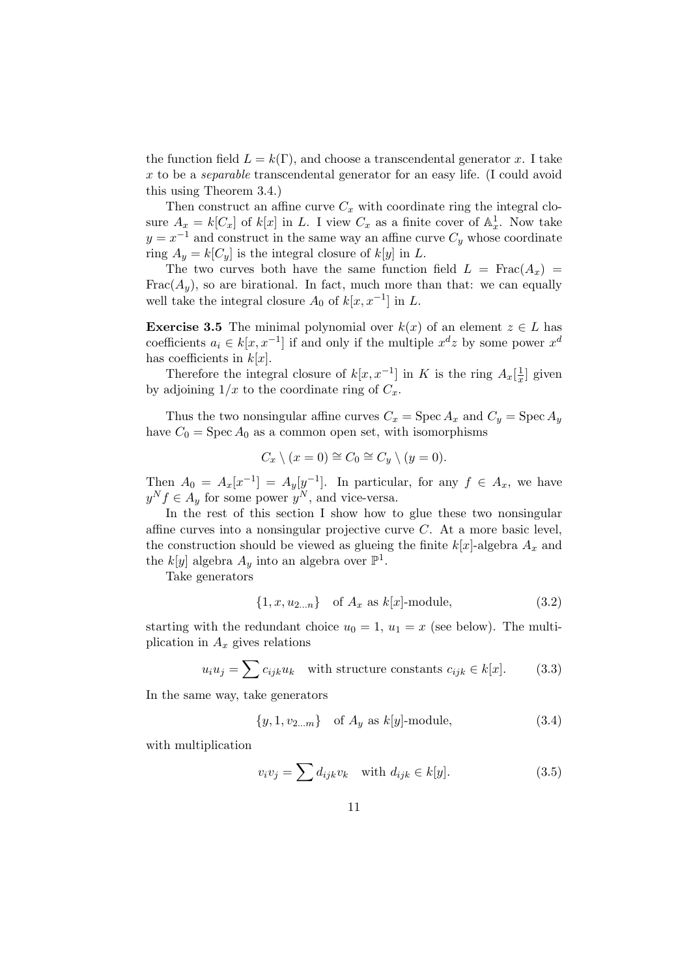the function field  $L = k(\Gamma)$ , and choose a transcendental generator x. I take x to be a separable transcendental generator for an easy life. (I could avoid this using Theorem 3.4.)

Then construct an affine curve  $C_x$  with coordinate ring the integral closure  $A_x = k[C_x]$  of  $k[x]$  in L. I view  $C_x$  as a finite cover of  $\mathbb{A}^1_x$ . Now take  $y = x^{-1}$  and construct in the same way an affine curve  $C_y$  whose coordinate ring  $A_y = k[C_y]$  is the integral closure of  $k[y]$  in L.

The two curves both have the same function field  $L = Frac(A_x)$ Frac $(A_y)$ , so are birational. In fact, much more than that: we can equally well take the integral closure  $A_0$  of  $k[x, x^{-1}]$  in L.

**Exercise 3.5** The minimal polynomial over  $k(x)$  of an element  $z \in L$  has coefficients  $a_i \in k[x, x^{-1}]$  if and only if the multiple  $x^d z$  by some power  $x^d$ has coefficients in  $k[x]$ .

Therefore the integral closure of  $k[x, x^{-1}]$  in K is the ring  $A_x\left[\frac{1}{x}\right]$  $\frac{1}{x}$  given by adjoining  $1/x$  to the coordinate ring of  $C_x$ .

Thus the two nonsingular affine curves  $C_x = \text{Spec } A_x$  and  $C_y = \text{Spec } A_y$ have  $C_0$  = Spec  $A_0$  as a common open set, with isomorphisms

$$
C_x \setminus (x = 0) \cong C_0 \cong C_y \setminus (y = 0).
$$

Then  $A_0 = A_x[x^{-1}] = A_y[y^{-1}]$ . In particular, for any  $f \in A_x$ , we have  $y^N f \in A_y$  for some power  $y^N$ , and vice-versa.

In the rest of this section I show how to glue these two nonsingular affine curves into a nonsingular projective curve C. At a more basic level, the construction should be viewed as glueing the finite  $k[x]$ -algebra  $A_x$  and the  $k[y]$  algebra  $A_y$  into an algebra over  $\mathbb{P}^1$ .

Take generators

$$
\{1, x, u_{2...n}\} \quad \text{of } A_x \text{ as } k[x] \text{-module}, \tag{3.2}
$$

starting with the redundant choice  $u_0 = 1$ ,  $u_1 = x$  (see below). The multiplication in  $A_x$  gives relations

$$
u_i u_j = \sum c_{ijk} u_k \quad \text{with structure constants } c_{ijk} \in k[x]. \tag{3.3}
$$

In the same way, take generators

$$
\{y, 1, v_{2...m}\} \text{ of } A_y \text{ as } k[y] \text{-module}, \tag{3.4}
$$

with multiplication

$$
v_i v_j = \sum d_{ijk} v_k \quad \text{with } d_{ijk} \in k[y]. \tag{3.5}
$$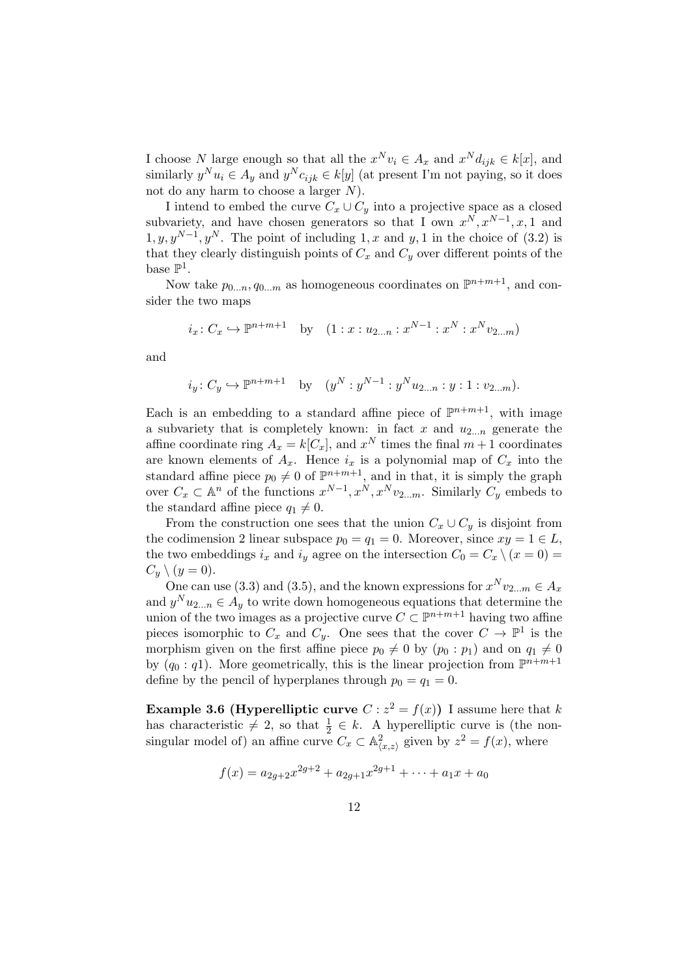I choose N large enough so that all the  $x^N v_i \in A_x$  and  $x^N d_{ijk} \in k[x]$ , and similarly  $y^N u_i \in A_y$  and  $y^N c_{ijk} \in k[y]$  (at present I'm not paying, so it does not do any harm to choose a larger  $N$ ).

I intend to embed the curve  $C_x \cup C_y$  into a projective space as a closed subvariety, and have chosen generators so that I own  $x^N, x^{N-1}, x, 1$  and  $1, y, y^{N-1}, y^N$ . The point of including 1, x and y, 1 in the choice of (3.2) is that they clearly distinguish points of  $C_x$  and  $C_y$  over different points of the base  $\mathbb{P}^1$ .

Now take  $p_{0...n}, q_{0...m}$  as homogeneous coordinates on  $\mathbb{P}^{n+m+1}$ , and consider the two maps

$$
i_x: C_x \hookrightarrow \mathbb{P}^{n+m+1}
$$
 by  $(1: x: u_{2...n}: x^{N-1}: x^N: x^N v_{2...m})$ 

and

$$
i_y: C_y \hookrightarrow \mathbb{P}^{n+m+1}
$$
 by  $(y^N : y^{N-1} : y^N u_{2...n} : y : 1 : v_{2...m}).$ 

Each is an embedding to a standard affine piece of  $\mathbb{P}^{n+m+1}$ , with image a subvariety that is completely known: in fact x and  $u_{2...n}$  generate the affine coordinate ring  $A_x = k[C_x]$ , and  $x^N$  times the final  $m+1$  coordinates are known elements of  $A_x$ . Hence  $i_x$  is a polynomial map of  $C_x$  into the standard affine piece  $p_0 \neq 0$  of  $\mathbb{P}^{n+m+1}$ , and in that, it is simply the graph over  $C_x \subset \mathbb{A}^n$  of the functions  $x^{N-1}, x^N, x^N v_{2...m}$ . Similarly  $C_y$  embeds to the standard affine piece  $q_1 \neq 0$ .

From the construction one sees that the union  $C_x \cup C_y$  is disjoint from the codimension 2 linear subspace  $p_0 = q_1 = 0$ . Moreover, since  $xy = 1 \in L$ , the two embeddings  $i_x$  and  $i_y$  agree on the intersection  $C_0 = C_x \setminus (x = 0)$  $C_y \setminus (y=0).$ 

One can use (3.3) and (3.5), and the known expressions for  $x^N v_{2...m} \in A_x$ and  $y^N u_{2...n} \in A_y$  to write down homogeneous equations that determine the union of the two images as a projective curve  $C \subset \mathbb{P}^{n+m+1}$  having two affine pieces isomorphic to  $C_x$  and  $C_y$ . One sees that the cover  $C \to \mathbb{P}^1$  is the morphism given on the first affine piece  $p_0 \neq 0$  by  $(p_0 : p_1)$  and on  $q_1 \neq 0$ by  $(q_0: q_1)$ . More geometrically, this is the linear projection from  $\mathbb{P}^{n+m+1}$ define by the pencil of hyperplanes through  $p_0 = q_1 = 0$ .

**Example 3.6 (Hyperelliptic curve**  $C: z^2 = f(x)$ ) I assume here that k has characteristic  $\neq 2$ , so that  $\frac{1}{2} \in k$ . A hyperelliptic curve is (the nonsingular model of) an affine curve  $C_x \subset \mathbb{A}^2_{\langle x,z\rangle}$  given by  $z^2 = f(x)$ , where

$$
f(x) = a_{2g+2}x^{2g+2} + a_{2g+1}x^{2g+1} + \dots + a_1x + a_0
$$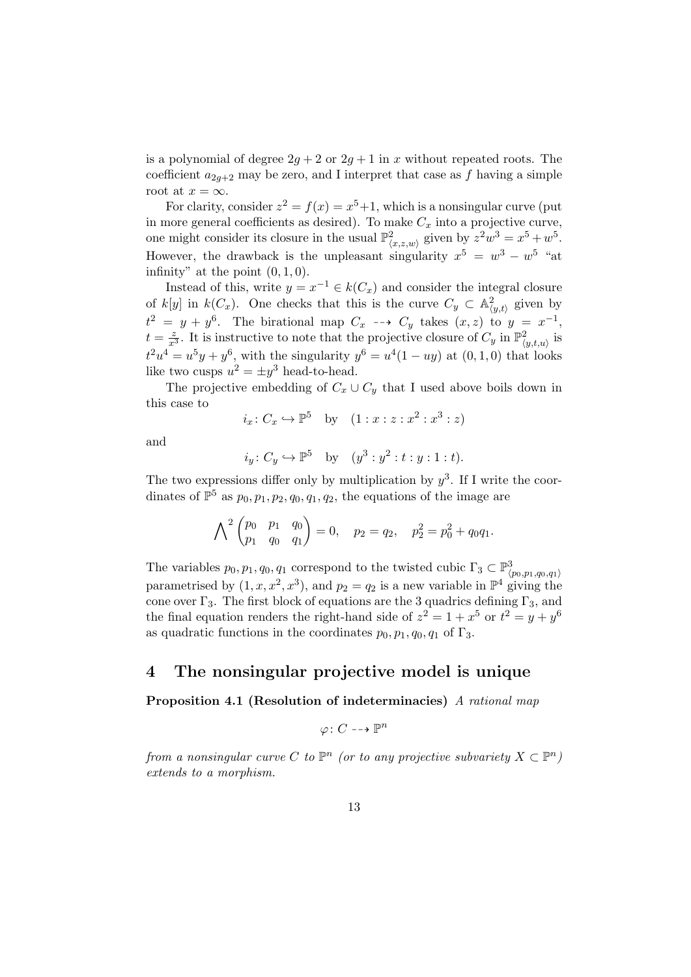is a polynomial of degree  $2g + 2$  or  $2g + 1$  in x without repeated roots. The coefficient  $a_{2g+2}$  may be zero, and I interpret that case as f having a simple root at  $x = \infty$ .

For clarity, consider  $z^2 = f(x) = x^5 + 1$ , which is a nonsingular curve (put in more general coefficients as desired). To make  $C_x$  into a projective curve, one might consider its closure in the usual  $\mathbb{P}^2_{\langle x,z,w\rangle}$  given by  $z^2w^3 = x^5 + w^5$ . However, the drawback is the unpleasant singularity  $x^5 = w^3 - w^5$  "at infinity" at the point  $(0, 1, 0)$ .

Instead of this, write  $y = x^{-1} \in k(C_x)$  and consider the integral closure of k[y] in  $k(C_x)$ . One checks that this is the curve  $C_y \subset \mathbb{A}^2_{\langle y,t\rangle}$  given by  $t^2 = y + y^6$ . The birational map  $C_x \dashrightarrow C_y$  takes  $(x, z)$  to  $y = x^{-1}$ ,  $t = \frac{z}{x^3}$ . It is instructive to note that the projective closure of  $C_y$  in  $\mathbb{P}^2_{\langle y,t,u\rangle}$  is  $t^2u^4 = u^5y + y^6$ , with the singularity  $y^6 = u^4(1 - uy)$  at  $(0, 1, 0)$  that looks like two cusps  $u^2 = \pm y^3$  head-to-head.

The projective embedding of  $C_x \cup C_y$  that I used above boils down in this case to

$$
i_x \colon C_x \hookrightarrow \mathbb{P}^5
$$
 by  $(1 : x : z : x^2 : x^3 : z)$ 

and

$$
i_y: C_y \hookrightarrow \mathbb{P}^5
$$
 by  $(y^3 : y^2 : t : y : 1 : t)$ .

The two expressions differ only by multiplication by  $y^3$ . If I write the coordinates of  $\mathbb{P}^5$  as  $p_0, p_1, p_2, q_0, q_1, q_2$ , the equations of the image are

$$
\bigwedge^2 \begin{pmatrix} p_0 & p_1 & q_0 \\ p_1 & q_0 & q_1 \end{pmatrix} = 0, \quad p_2 = q_2, \quad p_2^2 = p_0^2 + q_0 q_1.
$$

The variables  $p_0, p_1, q_0, q_1$  correspond to the twisted cubic  $\Gamma_3 \subset \mathbb{P}^3_{\langle p_0, p_1, q_0, q_1 \rangle}$ parametrised by  $(1, x, x^2, x^3)$ , and  $p_2 = q_2$  is a new variable in  $\mathbb{P}^4$  giving the cone over  $\Gamma_3$ . The first block of equations are the 3 quadrics defining  $\Gamma_3$ , and the final equation renders the right-hand side of  $z^2 = 1 + x^5$  or  $t^2 = y + y^6$ as quadratic functions in the coordinates  $p_0, p_1, q_0, q_1$  of  $\Gamma_3$ .

# 4 The nonsingular projective model is unique

Proposition 4.1 (Resolution of indeterminacies) A rational map

$$
\varphi\colon C\dashrightarrow \mathbb{P}^n
$$

from a nonsingular curve C to  $\mathbb{P}^n$  (or to any projective subvariety  $X \subset \mathbb{P}^n$ ) extends to a morphism.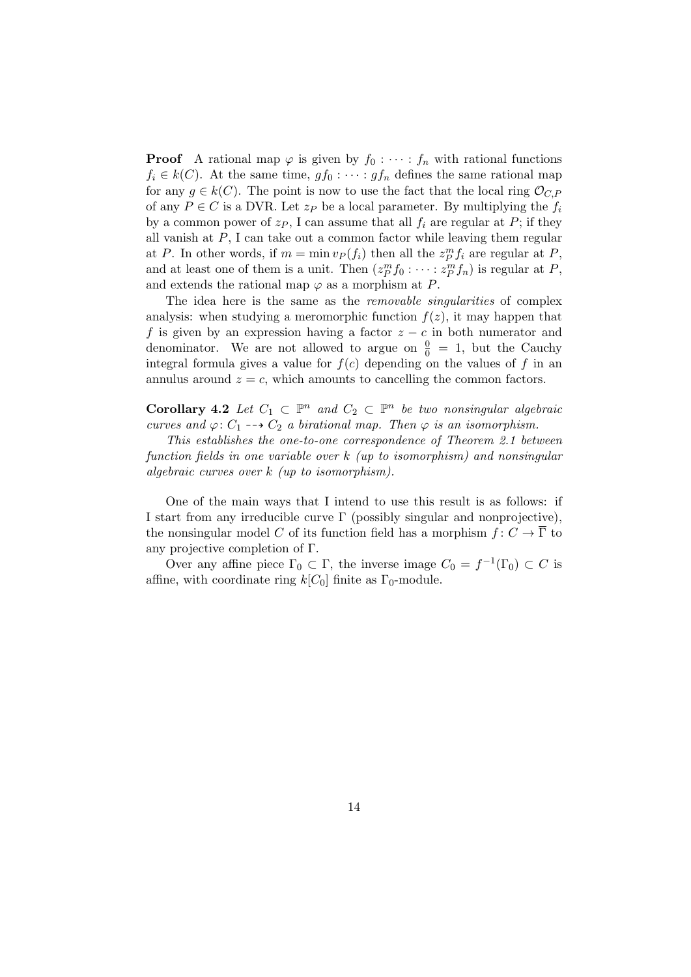**Proof** A rational map  $\varphi$  is given by  $f_0 : \cdots : f_n$  with rational functions  $f_i \in k(C)$ . At the same time,  $gf_0 : \cdots : gf_n$  defines the same rational map for any  $g \in k(C)$ . The point is now to use the fact that the local ring  $\mathcal{O}_{C,P}$ of any  $P \in C$  is a DVR. Let  $z_P$  be a local parameter. By multiplying the  $f_i$ by a common power of  $z_P$ , I can assume that all  $f_i$  are regular at P; if they all vanish at  $P$ , I can take out a common factor while leaving them regular at P. In other words, if  $m = \min v_P(f_i)$  then all the  $z_P^m f_i$  are regular at P, and at least one of them is a unit. Then  $(z_P^m f_0: \dots : z_P^m f_n)$  is regular at P, and extends the rational map  $\varphi$  as a morphism at P.

The idea here is the same as the *removable singularities* of complex analysis: when studying a meromorphic function  $f(z)$ , it may happen that f is given by an expression having a factor  $z - c$  in both numerator and denominator. We are not allowed to argue on  $\frac{0}{0} = 1$ , but the Cauchy integral formula gives a value for  $f(c)$  depending on the values of f in an annulus around  $z = c$ , which amounts to cancelling the common factors.

**Corollary 4.2** Let  $C_1 \subset \mathbb{P}^n$  and  $C_2 \subset \mathbb{P}^n$  be two nonsingular algebraic curves and  $\varphi: C_1 \dashrightarrow C_2$  a birational map. Then  $\varphi$  is an isomorphism.

This establishes the one-to-one correspondence of Theorem 2.1 between function fields in one variable over k (up to isomorphism) and nonsingular algebraic curves over k (up to isomorphism).

One of the main ways that I intend to use this result is as follows: if I start from any irreducible curve  $\Gamma$  (possibly singular and nonprojective), the nonsingular model C of its function field has a morphism  $f: C \to \overline{\Gamma}$  to any projective completion of Γ.

Over any affine piece  $\Gamma_0 \subset \Gamma$ , the inverse image  $C_0 = f^{-1}(\Gamma_0) \subset C$  is affine, with coordinate ring  $k[C_0]$  finite as  $\Gamma_0$ -module.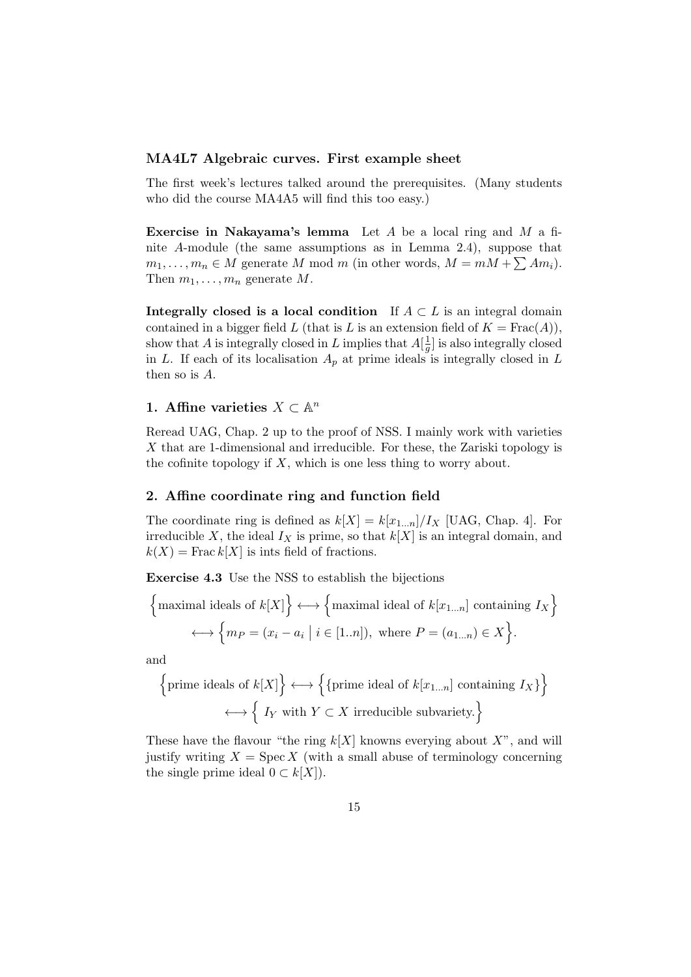### MA4L7 Algebraic curves. First example sheet

The first week's lectures talked around the prerequisites. (Many students who did the course MA4A5 will find this too easy.)

**Exercise in Nakayama's lemma** Let  $A$  be a local ring and  $M$  a finite A-module (the same assumptions as in Lemma 2.4), suppose that  $m_1, \ldots, m_n \in M$  generate M mod m (in other words,  $M = mM + \sum Am_i$ ). Then  $m_1, \ldots, m_n$  generate M.

Integrally closed is a local condition If  $A \subset L$  is an integral domain contained in a bigger field L (that is L is an extension field of  $K = Frac(A)$ ), show that A is integrally closed in L implies that  $A\left[\frac{1}{a}\right]$  $\frac{1}{g}$  is also integrally closed in L. If each of its localisation  $A_p$  at prime ideals is integrally closed in L then so is A.

# 1. Affine varieties  $X \subset \mathbb{A}^n$

Reread UAG, Chap. 2 up to the proof of NSS. I mainly work with varieties X that are 1-dimensional and irreducible. For these, the Zariski topology is the cofinite topology if  $X$ , which is one less thing to worry about.

#### 2. Affine coordinate ring and function field

The coordinate ring is defined as  $k[X] = k[x_{1...n}]/I_X$  [UAG, Chap. 4]. For irreducible X, the ideal  $I_X$  is prime, so that  $k[X]$  is an integral domain, and  $k(X) = \text{Frac } k[X]$  is ints field of fractions.

Exercise 4.3 Use the NSS to establish the bijections

$$
\left\{\text{maximal ideals of } k[X]\right\} \longleftrightarrow \left\{\text{maximal ideal of } k[x_{1...n}] \text{ containing } I_X\right\}
$$

$$
\longleftrightarrow \left\{m_P = (x_i - a_i \mid i \in [1..n]), \text{ where } P = (a_{1...n}) \in X\right\}.
$$

and

$$
\left\{\text{prime ideals of } k[X]\right\} \longleftrightarrow \left\{\left\{\text{prime ideal of } k[x_{1...n}] \text{ containing } I_X\right\}\right\}
$$

$$
\longleftrightarrow \left\{ I_Y \text{ with } Y \subset X \text{ irreducible subvariety.}\right\}
$$

These have the flavour "the ring  $k[X]$  knowns everying about  $X$ ", and will justify writing  $X = \text{Spec } X$  (with a small abuse of terminology concerning the single prime ideal  $0 \subset k[X]$ .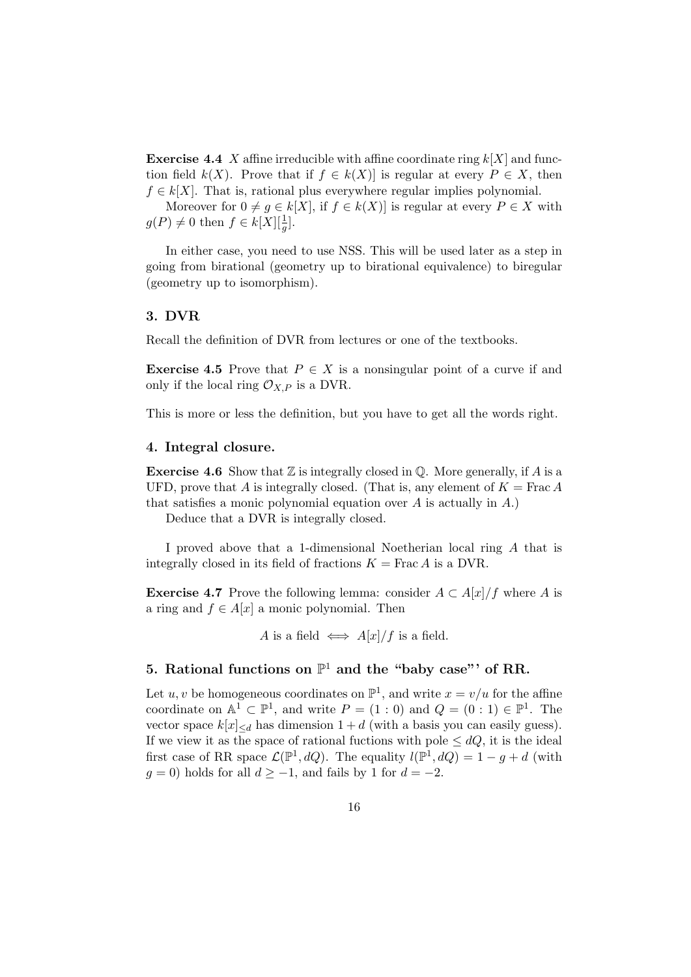**Exercise 4.4** X affine irreducible with affine coordinate ring  $k[X]$  and function field  $k(X)$ . Prove that if  $f \in k(X)$  is regular at every  $P \in X$ , then  $f \in k[X]$ . That is, rational plus everywhere regular implies polynomial.

Moreover for  $0 \neq g \in k[X]$ , if  $f \in k(X)$  is regular at every  $P \in X$  with  $g(P) \neq 0$  then  $f \in k[X][\frac{1}{g}].$ 

In either case, you need to use NSS. This will be used later as a step in going from birational (geometry up to birational equivalence) to biregular (geometry up to isomorphism).

### 3. DVR

Recall the definition of DVR from lectures or one of the textbooks.

**Exercise 4.5** Prove that  $P \in X$  is a nonsingular point of a curve if and only if the local ring  $\mathcal{O}_{X,P}$  is a DVR.

This is more or less the definition, but you have to get all the words right.

### 4. Integral closure.

**Exercise 4.6** Show that  $\mathbb{Z}$  is integrally closed in  $\mathbb{Q}$ . More generally, if A is a UFD, prove that A is integrally closed. (That is, any element of  $K = \text{Frac } A$ that satisfies a monic polynomial equation over  $A$  is actually in  $A$ .)

Deduce that a DVR is integrally closed.

I proved above that a 1-dimensional Noetherian local ring A that is integrally closed in its field of fractions  $K = \text{Frac } A$  is a DVR.

**Exercise 4.7** Prove the following lemma: consider  $A \subset A[x]/f$  where A is a ring and  $f \in A[x]$  a monic polynomial. Then

A is a field  $\iff$  A[x]/f is a field.

# 5. Rational functions on  $\mathbb{P}^1$  and the "baby case" of RR.

Let  $u, v$  be homogeneous coordinates on  $\mathbb{P}^1$ , and write  $x = v/u$  for the affine coordinate on  $\mathbb{A}^1 \subset \mathbb{P}^1$ , and write  $P = (1:0)$  and  $Q = (0:1) \in \mathbb{P}^1$ . The vector space  $k[x]_{\le d}$  has dimension  $1 + d$  (with a basis you can easily guess). If we view it as the space of rational fuctions with pole  $\leq dQ$ , it is the ideal first case of RR space  $\mathcal{L}(\mathbb{P}^1, dQ)$ . The equality  $l(\mathbb{P}^1, dQ) = 1 - g + d$  (with  $g = 0$ ) holds for all  $d \ge -1$ , and fails by 1 for  $d = -2$ .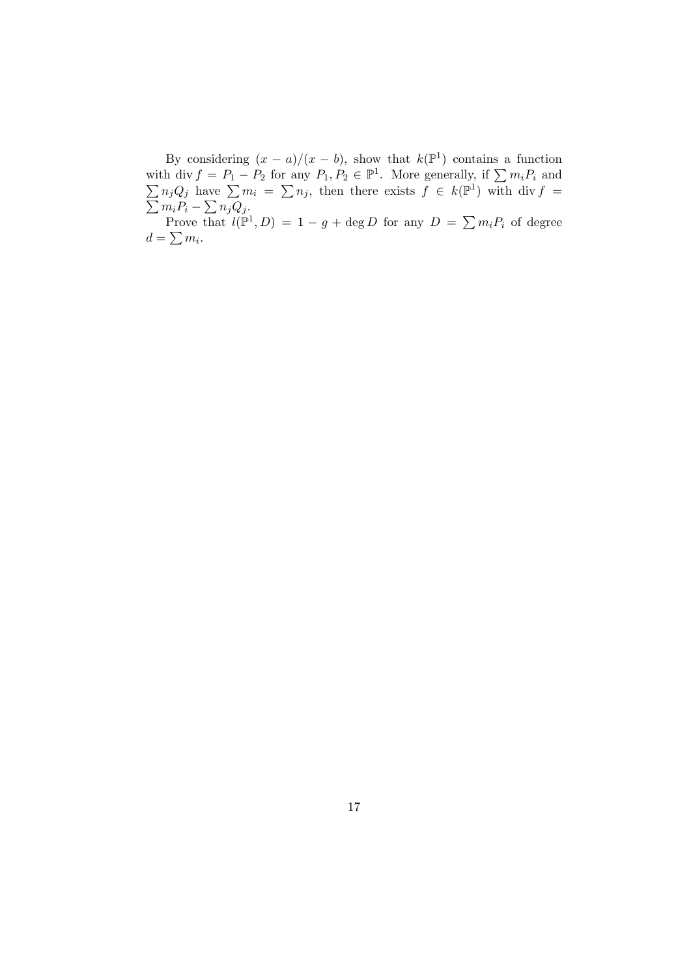By considering  $(x - a)/(x - b)$ , show that  $k(\mathbb{P}^1)$  contains a function with div  $f = P_1 - P_2$  for any  $P_1, P_2 \in \mathbb{P}^1$ . More generally, if  $\sum$  $\sum$  $m_iP_i$  and  $n_j Q_j$  have  $\sum m_i = \sum n_j$ , then there exists  $f \in k(\mathbb{P}^1)$  $\sum$ ) with div  $f =$  $m_i P_i - \sum n_j Q_j$ .

Prove that  $l(\mathbb{P}^1, D) = 1 - g + \deg D$  for any  $D = \sum m_i P_i$  of degree  $d=\sum m_i$ .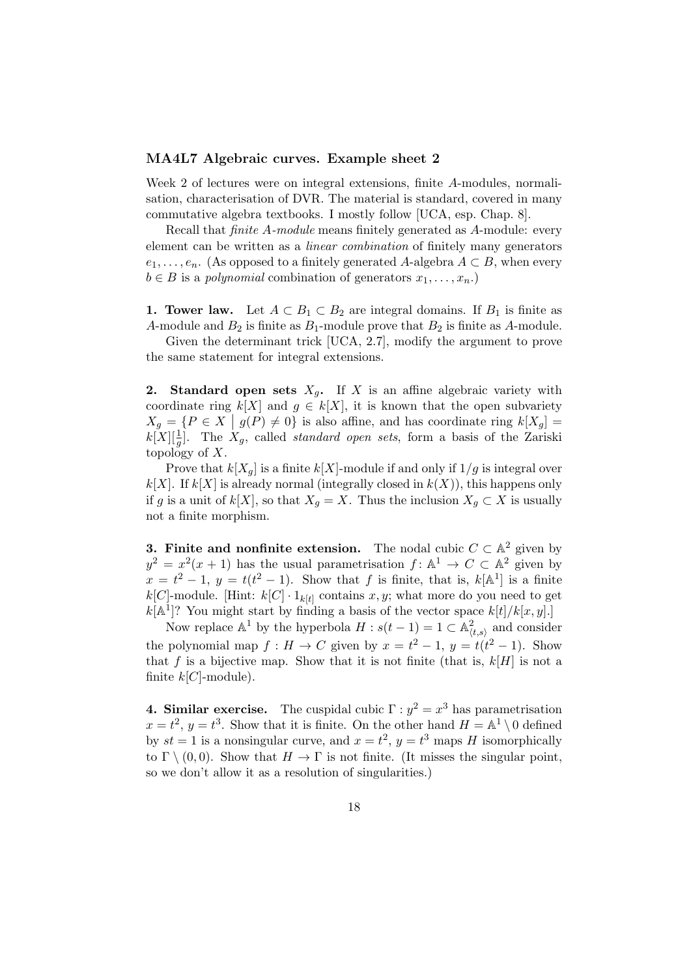### MA4L7 Algebraic curves. Example sheet 2

Week 2 of lectures were on integral extensions, finite A-modules, normalisation, characterisation of DVR. The material is standard, covered in many commutative algebra textbooks. I mostly follow [UCA, esp. Chap. 8].

Recall that finite A-module means finitely generated as A-module: every element can be written as a linear combination of finitely many generators  $e_1, \ldots, e_n$ . (As opposed to a finitely generated A-algebra  $A \subset B$ , when every  $b \in B$  is a *polynomial* combination of generators  $x_1, \ldots, x_n$ .

1. Tower law. Let  $A \subset B_1 \subset B_2$  are integral domains. If  $B_1$  is finite as A-module and  $B_2$  is finite as  $B_1$ -module prove that  $B_2$  is finite as A-module.

Given the determinant trick [UCA, 2.7], modify the argument to prove the same statement for integral extensions.

**2.** Standard open sets  $X_q$ . If X is an affine algebraic variety with coordinate ring  $k[X]$  and  $g \in k[X]$ , it is known that the open subvariety  $X_g = \{P \in X \mid g(P) \neq 0\}$  is also affine, and has coordinate ring  $k[X_g] =$  $k[X][\frac{1}{g}]$ . The  $X_g$ , called *standard open sets*, form a basis of the Zariski topology of  $X$ .

Prove that  $k[X_q]$  is a finite  $k[X]$ -module if and only if  $1/g$  is integral over  $k[X]$ . If  $k[X]$  is already normal (integrally closed in  $k(X)$ ), this happens only if g is a unit of k[X], so that  $X_q = X$ . Thus the inclusion  $X_q \subset X$  is usually not a finite morphism.

**3. Finite and nonfinite extension.** The nodal cubic  $C \subset \mathbb{A}^2$  given by  $y^2 = x^2(x+1)$  has the usual parametrisation  $f: \mathbb{A}^1 \to C \subset \mathbb{A}^2$  given by  $x = t^2 - 1$ ,  $y = t(t^2 - 1)$ . Show that f is finite, that is,  $k[\mathbb{A}^1]$  is a finite  $k[C]$ -module. [Hint:  $k[C] \cdot 1_{k[t]}$  contains x, y; what more do you need to get  $k[\mathbb{A}^1]$ ? You might start by finding a basis of the vector space  $k[t]/k[x, y]$ .

Now replace  $\mathbb{A}^1$  by the hyperbola  $H : s(t-1) = 1 \subset \mathbb{A}^2_{\langle t,s \rangle}$  and consider the polynomial map  $f: H \to C$  given by  $x = t^2 - 1$ ,  $y = t(t^2 - 1)$ . Show that f is a bijective map. Show that it is not finite (that is,  $k[H]$  is not a finite  $k[C]$ -module).

**4. Similar exercise.** The cuspidal cubic  $\Gamma : y^2 = x^3$  has parametrisation  $x = t^2$ ,  $y = t^3$ . Show that it is finite. On the other hand  $H = \mathbb{A}^1 \setminus 0$  defined by  $st = 1$  is a nonsingular curve, and  $x = t^2$ ,  $y = t^3$  maps H isomorphically to  $\Gamma \setminus (0,0)$ . Show that  $H \to \Gamma$  is not finite. (It misses the singular point, so we don't allow it as a resolution of singularities.)